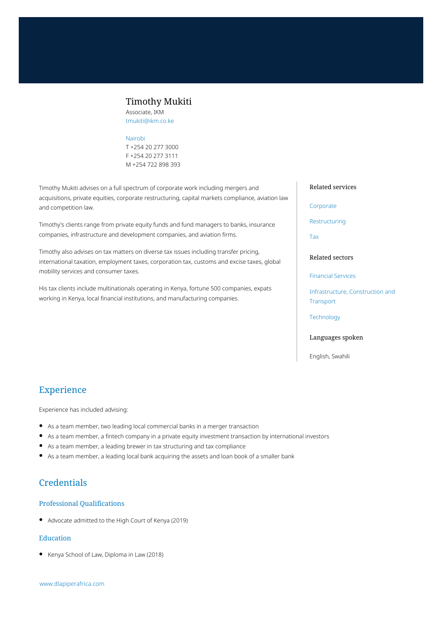# Timothy Mukiti

Associate, IKM tmukiti@ikm.co.ke

#### [Nairobi](https://www.dlapiperafrica.com/kenya/locations/nairobi.html)

T +254 20 277 3000 F +254 20 277 3111 M +254 722 898 393

Timothy Mukiti advises on a full spectrum of corporate work including mergers and acquisitions, private equities, corporate restructuring, capital markets compliance, aviation law and competition law.

Timothy's clients range from private equity funds and fund managers to banks, insurance companies, infrastructure and development companies, and aviation firms.

Timothy also advises on tax matters on diverse tax issues including transfer pricing, international taxation, employment taxes, corporation tax, customs and excise taxes, global mobility services and consumer taxes.

His tax clients include multinationals operating in Kenya, fortune 500 companies, expats working in Kenya, local financial institutions, and manufacturing companies.

#### Related services

#### [Corporate](https://www.dlapiperafrica.com/en/kenya/services/corporate.html)

[Restructuring](https://www.dlapiperafrica.com/en/kenya/services/restructuring.html)

[Tax](https://www.dlapiperafrica.com/en/kenya/services/tax.html)

### Related sectors

[Financial Services](https://www.dlapiperafrica.com/en/kenya/sectors/financial-services.html)

[Infrastructure, Construction and](https://www.dlapiperafrica.com/en/kenya/sectors/infrastructure-construction-transport.html) **[Transport](https://www.dlapiperafrica.com/en/kenya/sectors/infrastructure-construction-transport.html)** 

### **[Technology](https://www.dlapiperafrica.com/en/kenya/sectors/technology.html)**

#### Languages spoken

English, Swahili

# Experience

Experience has included advising:

- As a team member, two leading local commercial banks in a merger transaction
- As a team member, a fintech company in a private equity investment transaction by international investors
- As a team member, a leading brewer in tax structuring and tax compliance
- As a team member, a leading local bank acquiring the assets and loan book of a smaller bank

# **Credentials**

## Professional Qualifications

Advocate admitted to the High Court of Kenya (2019)

## Education

Kenya School of Law, Diploma in Law (2018)